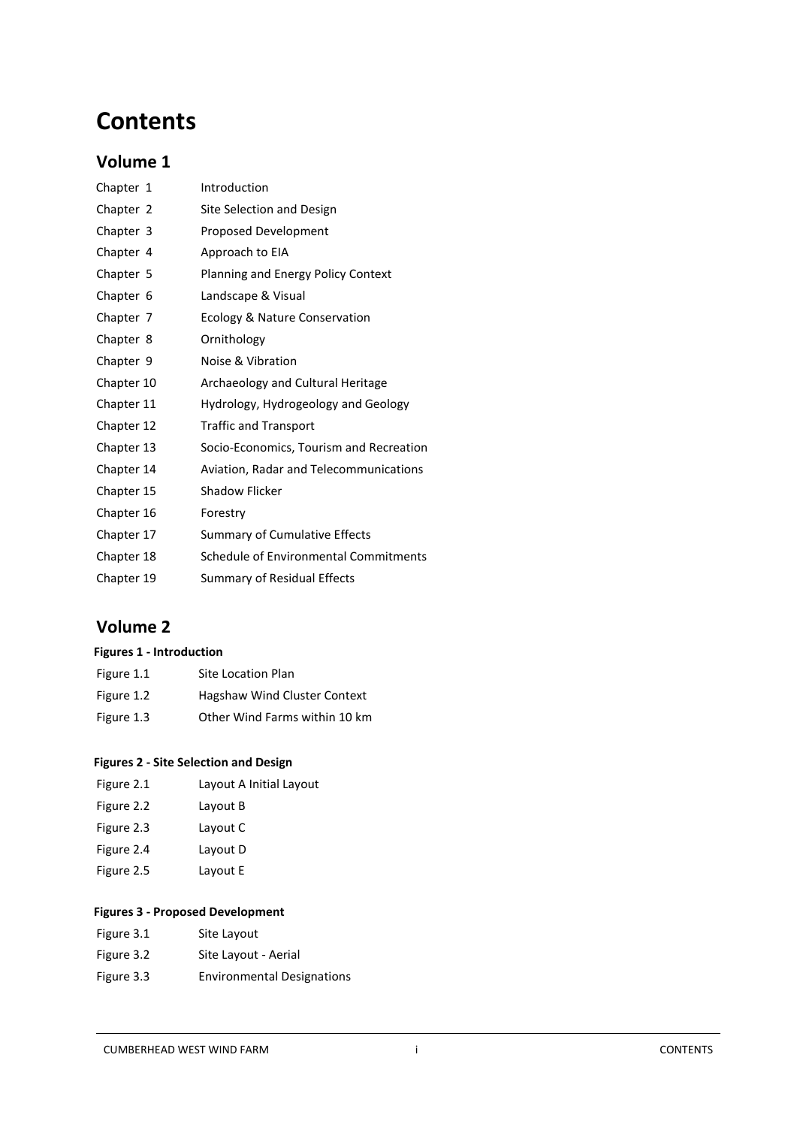# **Contents**

# **Volume 1**

| Chapter 1  | Introduction                            |
|------------|-----------------------------------------|
| Chapter 2  | Site Selection and Design               |
| Chapter 3  | <b>Proposed Development</b>             |
| Chapter 4  | Approach to EIA                         |
| Chapter 5  | Planning and Energy Policy Context      |
| Chapter 6  | Landscape & Visual                      |
| Chapter 7  | Ecology & Nature Conservation           |
| Chapter 8  | Ornithology                             |
| Chapter 9  | Noise & Vibration                       |
| Chapter 10 | Archaeology and Cultural Heritage       |
| Chapter 11 | Hydrology, Hydrogeology and Geology     |
| Chapter 12 | <b>Traffic and Transport</b>            |
| Chapter 13 | Socio-Economics, Tourism and Recreation |
| Chapter 14 | Aviation, Radar and Telecommunications  |
| Chapter 15 | <b>Shadow Flicker</b>                   |
| Chapter 16 | Forestry                                |
| Chapter 17 | <b>Summary of Cumulative Effects</b>    |
| Chapter 18 | Schedule of Environmental Commitments   |
| Chapter 19 | Summary of Residual Effects             |

# **Volume 2**

## **Figures 1 - Introduction**

| Figure 1.1 | Site Location Plan            |
|------------|-------------------------------|
| Figure 1.2 | Hagshaw Wind Cluster Context  |
| Figure 1.3 | Other Wind Farms within 10 km |

## **Figures 2 - Site Selection and Design**

| Figure 2.1 | Layout A Initial Layout |
|------------|-------------------------|
| Figure 2.2 | Layout B                |
| Figure 2.3 | Layout C                |
| Figure 2.4 | Layout D                |
| Figure 2.5 | Layout E                |
|            |                         |

## **Figures 3 - Proposed Development**

| Figure 3.1 | Site Layout                       |
|------------|-----------------------------------|
| Figure 3.2 | Site Layout - Aerial              |
| Figure 3.3 | <b>Environmental Designations</b> |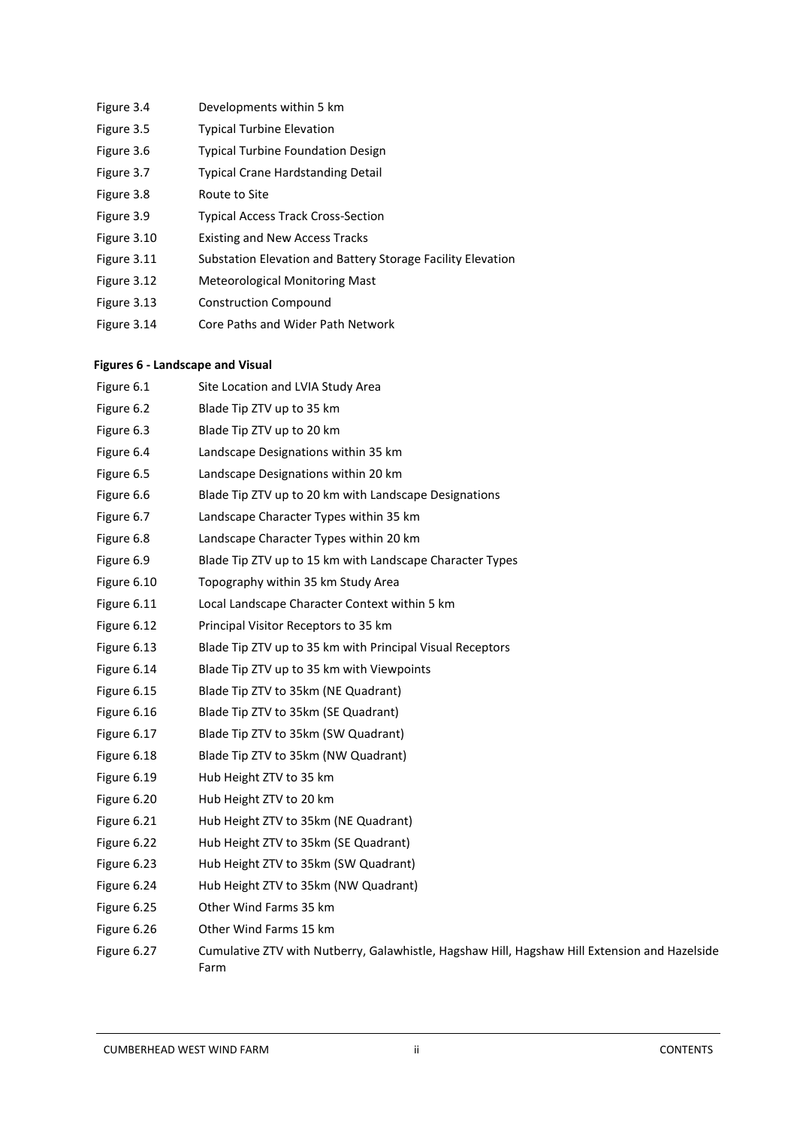| Figure 3.4  | Developments within 5 km                                    |
|-------------|-------------------------------------------------------------|
| Figure 3.5  | <b>Typical Turbine Elevation</b>                            |
| Figure 3.6  | <b>Typical Turbine Foundation Design</b>                    |
| Figure 3.7  | <b>Typical Crane Hardstanding Detail</b>                    |
| Figure 3.8  | Route to Site                                               |
| Figure 3.9  | <b>Typical Access Track Cross-Section</b>                   |
| Figure 3.10 | <b>Existing and New Access Tracks</b>                       |
| Figure 3.11 | Substation Elevation and Battery Storage Facility Elevation |
| Figure 3.12 | Meteorological Monitoring Mast                              |
| Figure 3.13 | <b>Construction Compound</b>                                |
|             |                                                             |

Figure 3.14 Core Paths and Wider Path Network

# 1.1.1 **Figures 6 - Landscape and Visual**

| Figure 6.1  | Site Location and LVIA Study Area                                                                     |
|-------------|-------------------------------------------------------------------------------------------------------|
| Figure 6.2  | Blade Tip ZTV up to 35 km                                                                             |
| Figure 6.3  | Blade Tip ZTV up to 20 km                                                                             |
| Figure 6.4  | Landscape Designations within 35 km                                                                   |
| Figure 6.5  | Landscape Designations within 20 km                                                                   |
| Figure 6.6  | Blade Tip ZTV up to 20 km with Landscape Designations                                                 |
| Figure 6.7  | Landscape Character Types within 35 km                                                                |
| Figure 6.8  | Landscape Character Types within 20 km                                                                |
| Figure 6.9  | Blade Tip ZTV up to 15 km with Landscape Character Types                                              |
| Figure 6.10 | Topography within 35 km Study Area                                                                    |
| Figure 6.11 | Local Landscape Character Context within 5 km                                                         |
| Figure 6.12 | Principal Visitor Receptors to 35 km                                                                  |
| Figure 6.13 | Blade Tip ZTV up to 35 km with Principal Visual Receptors                                             |
| Figure 6.14 | Blade Tip ZTV up to 35 km with Viewpoints                                                             |
| Figure 6.15 | Blade Tip ZTV to 35km (NE Quadrant)                                                                   |
| Figure 6.16 | Blade Tip ZTV to 35km (SE Quadrant)                                                                   |
| Figure 6.17 | Blade Tip ZTV to 35km (SW Quadrant)                                                                   |
| Figure 6.18 | Blade Tip ZTV to 35km (NW Quadrant)                                                                   |
| Figure 6.19 | Hub Height ZTV to 35 km                                                                               |
| Figure 6.20 | Hub Height ZTV to 20 km                                                                               |
| Figure 6.21 | Hub Height ZTV to 35km (NE Quadrant)                                                                  |
| Figure 6.22 | Hub Height ZTV to 35km (SE Quadrant)                                                                  |
| Figure 6.23 | Hub Height ZTV to 35km (SW Quadrant)                                                                  |
| Figure 6.24 | Hub Height ZTV to 35km (NW Quadrant)                                                                  |
| Figure 6.25 | Other Wind Farms 35 km                                                                                |
| Figure 6.26 | Other Wind Farms 15 km                                                                                |
| Figure 6.27 | Cumulative ZTV with Nutberry, Galawhistle, Hagshaw Hill, Hagshaw Hill Extension and Hazelside<br>Farm |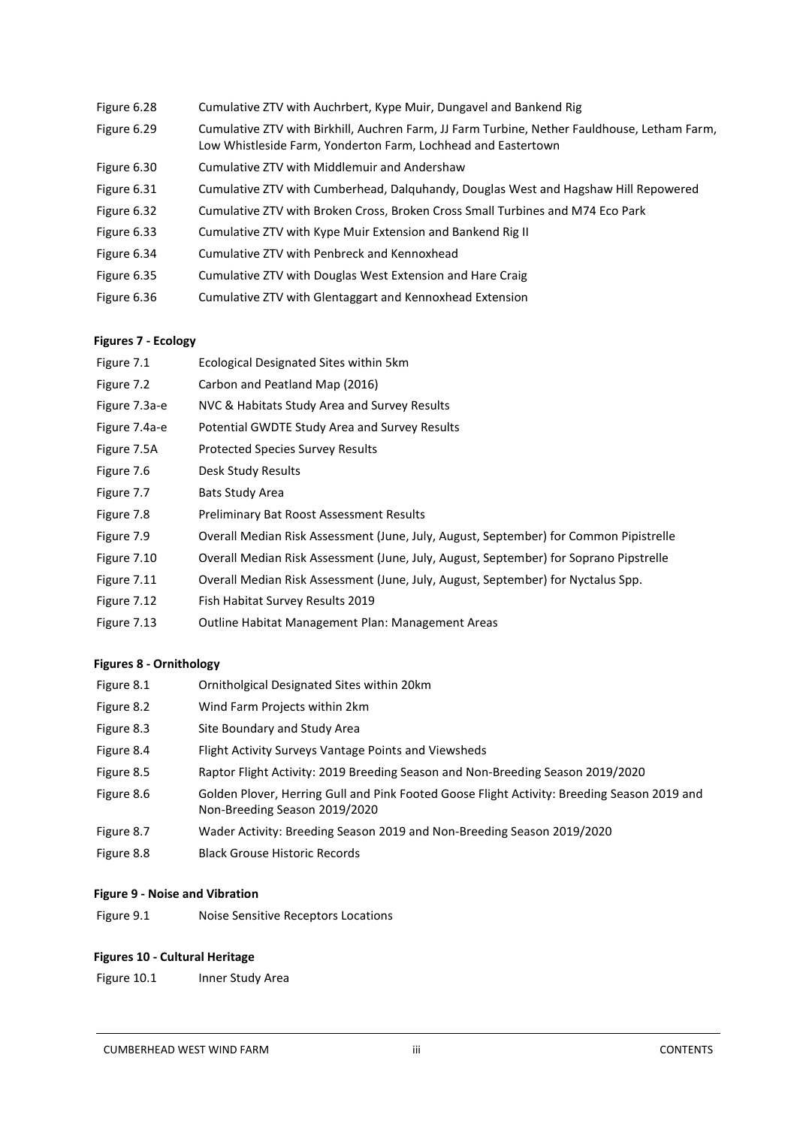| Figure 6.28 | Cumulative ZTV with Auchrbert, Kype Muir, Dungavel and Bankend Rig                                                                                            |
|-------------|---------------------------------------------------------------------------------------------------------------------------------------------------------------|
| Figure 6.29 | Cumulative ZTV with Birkhill, Auchren Farm, JJ Farm Turbine, Nether Fauldhouse, Letham Farm,<br>Low Whistleside Farm, Yonderton Farm, Lochhead and Eastertown |
| Figure 6.30 | Cumulative ZTV with Middlemuir and Andershaw                                                                                                                  |
| Figure 6.31 | Cumulative ZTV with Cumberhead, Dalquhandy, Douglas West and Hagshaw Hill Repowered                                                                           |
| Figure 6.32 | Cumulative ZTV with Broken Cross, Broken Cross Small Turbines and M74 Eco Park                                                                                |
| Figure 6.33 | Cumulative ZTV with Kype Muir Extension and Bankend Rig II                                                                                                    |
| Figure 6.34 | Cumulative ZTV with Penbreck and Kennoxhead                                                                                                                   |
| Figure 6.35 | Cumulative ZTV with Douglas West Extension and Hare Craig                                                                                                     |
| Figure 6.36 | Cumulative ZTV with Glentaggart and Kennoxhead Extension                                                                                                      |

## **Figures 7 - Ecology**

| Figure 7.1    | Ecological Designated Sites within 5km                                                |
|---------------|---------------------------------------------------------------------------------------|
| Figure 7.2    | Carbon and Peatland Map (2016)                                                        |
| Figure 7.3a-e | NVC & Habitats Study Area and Survey Results                                          |
| Figure 7.4a-e | Potential GWDTE Study Area and Survey Results                                         |
| Figure 7.5A   | <b>Protected Species Survey Results</b>                                               |
| Figure 7.6    | Desk Study Results                                                                    |
| Figure 7.7    | Bats Study Area                                                                       |
| Figure 7.8    | <b>Preliminary Bat Roost Assessment Results</b>                                       |
| Figure 7.9    | Overall Median Risk Assessment (June, July, August, September) for Common Pipistrelle |
| Figure 7.10   | Overall Median Risk Assessment (June, July, August, September) for Soprano Pipstrelle |
| Figure 7.11   | Overall Median Risk Assessment (June, July, August, September) for Nyctalus Spp.      |
| Figure 7.12   | Fish Habitat Survey Results 2019                                                      |
| Figure 7.13   | Outline Habitat Management Plan: Management Areas                                     |
|               |                                                                                       |

## **Figures 8 - Ornithology**

| Figure 8.1 | Ornitholgical Designated Sites within 20km                                                                                   |
|------------|------------------------------------------------------------------------------------------------------------------------------|
| Figure 8.2 | Wind Farm Projects within 2km                                                                                                |
| Figure 8.3 | Site Boundary and Study Area                                                                                                 |
| Figure 8.4 | Flight Activity Surveys Vantage Points and Viewsheds                                                                         |
| Figure 8.5 | Raptor Flight Activity: 2019 Breeding Season and Non-Breeding Season 2019/2020                                               |
| Figure 8.6 | Golden Plover, Herring Gull and Pink Footed Goose Flight Activity: Breeding Season 2019 and<br>Non-Breeding Season 2019/2020 |
| Figure 8.7 | Wader Activity: Breeding Season 2019 and Non-Breeding Season 2019/2020                                                       |

Figure 8.8 Black Grouse Historic Records

# **Figure 9 - Noise and Vibration**

Figure 9.1 Noise Sensitive Receptors Locations

# **Figures 10 - Cultural Heritage**

Figure 10.1 Inner Study Area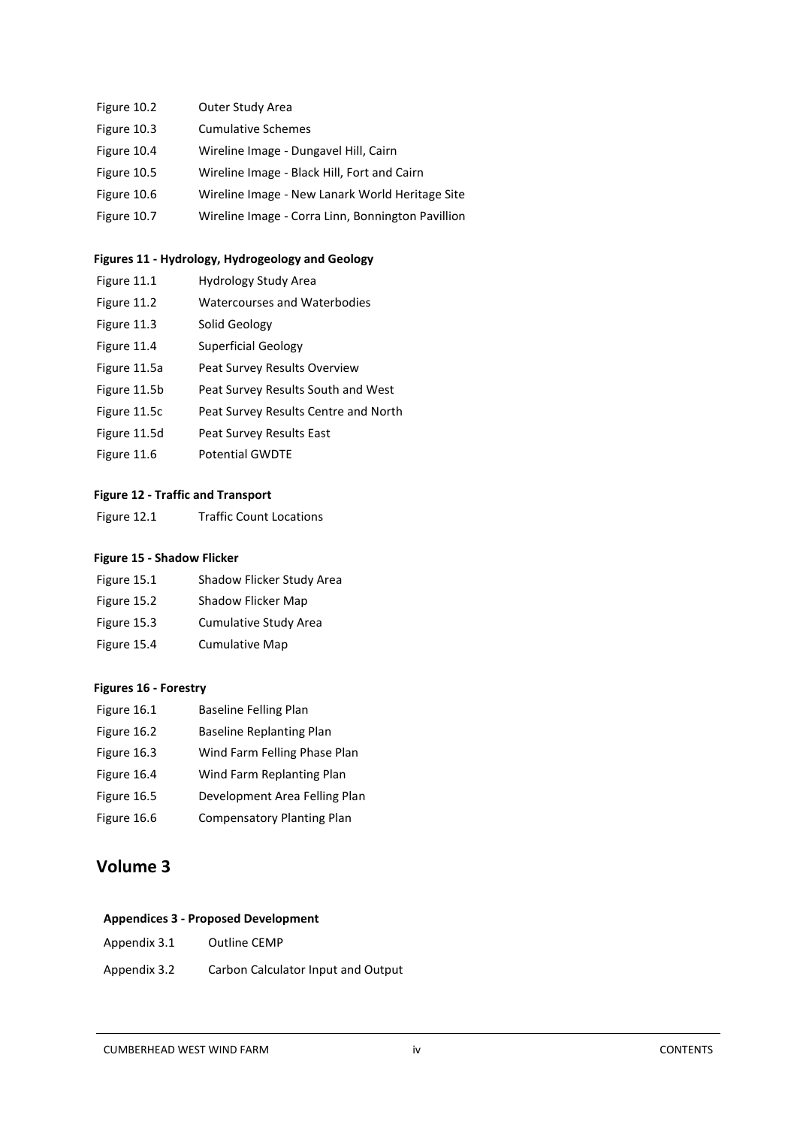| Figure 10.2 | Outer Study Area                                  |
|-------------|---------------------------------------------------|
| Figure 10.3 | <b>Cumulative Schemes</b>                         |
| Figure 10.4 | Wireline Image - Dungavel Hill, Cairn             |
| Figure 10.5 | Wireline Image - Black Hill, Fort and Cairn       |
| Figure 10.6 | Wireline Image - New Lanark World Heritage Site   |
| Figure 10.7 | Wireline Image - Corra Linn, Bonnington Pavillion |

## **Figures 11 - Hydrology, Hydrogeology and Geology**

Figure 11.1 Hydrology Study Area Figure 11.2 Watercourses and Waterbodies Figure 11.3 Solid Geology Figure 11.4 Superficial Geology Figure 11.5a Peat Survey Results Overview Figure 11.5b Peat Survey Results South and West Figure 11.5c Peat Survey Results Centre and North Figure 11.5d Peat Survey Results East Figure 11.6 Potential GWDTE

## **Figure 12 - Traffic and Transport**

Figure 12.1 Traffic Count Locations

#### **Figure 15 - Shadow Flicker**

| Figure 15.1 | Shadow Flicker Study Area |
|-------------|---------------------------|
| Figure 15.2 | Shadow Flicker Map        |
| Figure 15.3 | Cumulative Study Area     |
| Figure 15.4 | <b>Cumulative Map</b>     |

## **Figures 16 - Forestry**

| Figure 16.1 | <b>Baseline Felling Plan</b>      |
|-------------|-----------------------------------|
| Figure 16.2 | <b>Baseline Replanting Plan</b>   |
| Figure 16.3 | Wind Farm Felling Phase Plan      |
| Figure 16.4 | Wind Farm Replanting Plan         |
| Figure 16.5 | Development Area Felling Plan     |
| Figure 16.6 | <b>Compensatory Planting Plan</b> |

# **Volume 3**

## **Appendices 3 - Proposed Development**

Appendix 3.2 Carbon Calculator Input and Output

## CUMBERHEAD WEST WIND FARM iv CONTENTS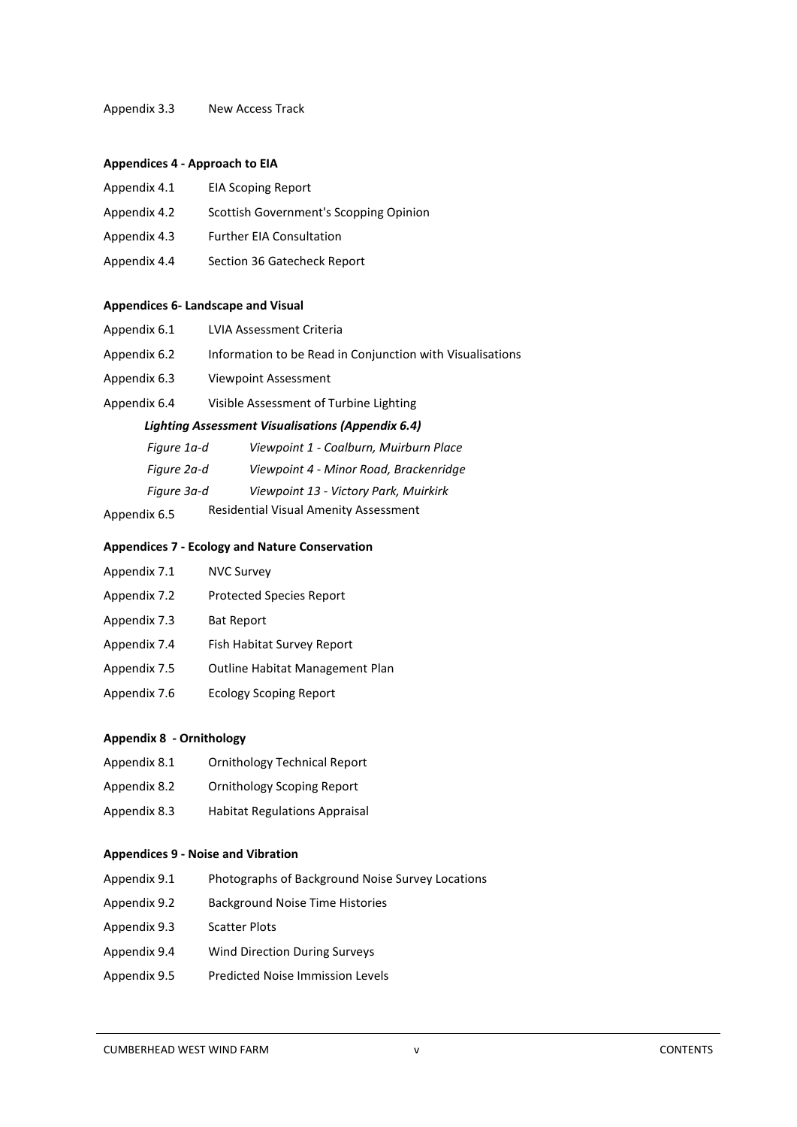#### Appendix 3.3 New Access Track

#### **Appendices 4 - Approach to EIA**

| Appendix 4.1 | <b>EIA Scoping Report</b>              |
|--------------|----------------------------------------|
| Appendix 4.2 | Scottish Government's Scopping Opinion |
| Appendix 4.3 | <b>Further EIA Consultation</b>        |
| Appendix 4.4 | Section 36 Gatecheck Report            |

#### **Appendices 6- Landscape and Visual**

| Appendix 6.1                                             | LVIA Assessment Criteria                                  |  |
|----------------------------------------------------------|-----------------------------------------------------------|--|
| Appendix 6.2                                             | Information to be Read in Conjunction with Visualisations |  |
| Appendix 6.3                                             | Viewpoint Assessment                                      |  |
| Appendix 6.4                                             | Visible Assessment of Turbine Lighting                    |  |
| <b>Lighting Assessment Visualisations (Appendix 6.4)</b> |                                                           |  |
| Figure 1a-d                                              | Viewpoint 1 - Coalburn, Muirburn Place                    |  |
| Figure 2a-d                                              | Viewpoint 4 - Minor Road, Brackenridge                    |  |
| Figure 3a-d                                              | Viewpoint 13 - Victory Park, Muirkirk                     |  |
| Appendix 6.5                                             | Residential Visual Amenity Assessment                     |  |

#### **Appendices 7 - Ecology and Nature Conservation**

| NVC Survey |
|------------|
|            |

- Appendix 7.2 Protected Species Report
- Appendix 7.3 Bat Report
- Appendix 7.4 Fish Habitat Survey Report
- Appendix 7.5 Outline Habitat Management Plan
- Appendix 7.6 Ecology Scoping Report

#### **Appendix 8 - Ornithology**

- Appendix 8.1 Ornithology Technical Report
- Appendix 8.2 Ornithology Scoping Report
- Appendix 8.3 Habitat Regulations Appraisal

#### **Appendices 9 - Noise and Vibration**

- Appendix 9.1 Photographs of Background Noise Survey Locations
- Appendix 9.2 Background Noise Time Histories
- Appendix 9.3 Scatter Plots
- Appendix 9.4 Wind Direction During Surveys
- Appendix 9.5 Predicted Noise Immission Levels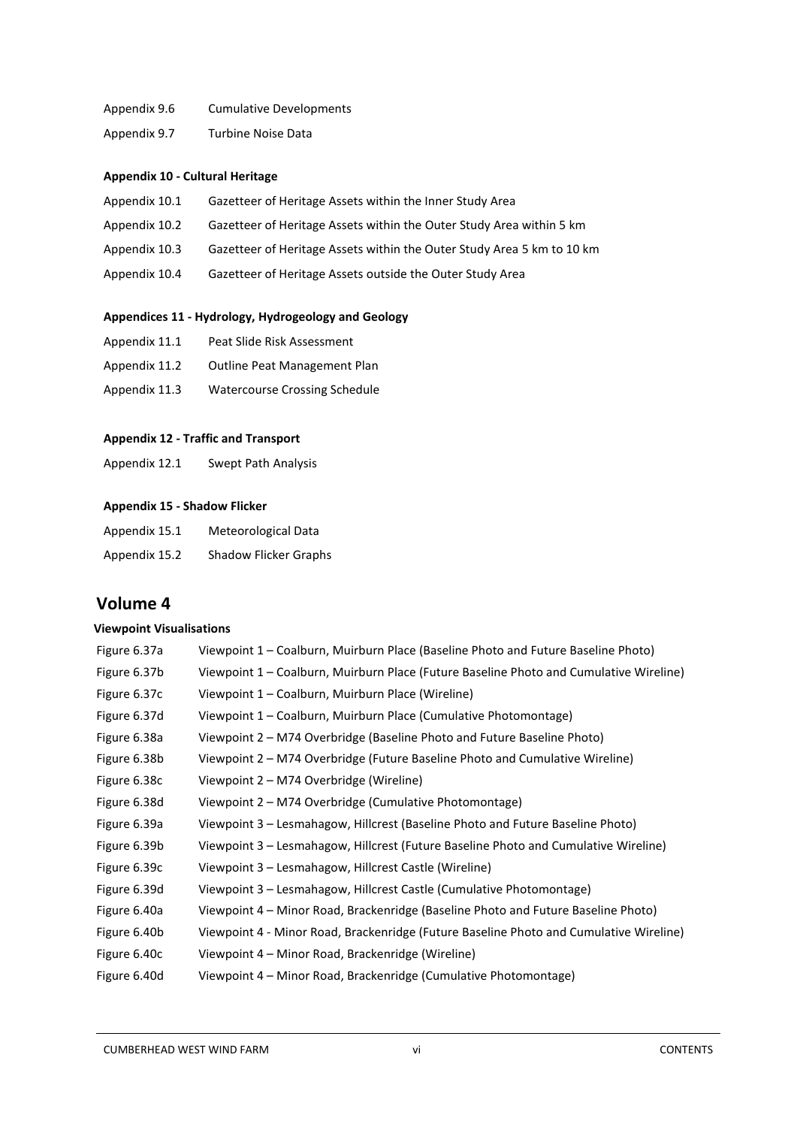#### Appendix 9.6 Cumulative Developments

Appendix 9.7 Turbine Noise Data

#### **Appendix 10 - Cultural Heritage**

- Appendix 10.1 Gazetteer of Heritage Assets within the Inner Study Area
- Appendix 10.2 Gazetteer of Heritage Assets within the Outer Study Area within 5 km
- Appendix 10.3 Gazetteer of Heritage Assets within the Outer Study Area 5 km to 10 km
- Appendix 10.4 Gazetteer of Heritage Assets outside the Outer Study Area

#### **Appendices 11 - Hydrology, Hydrogeology and Geology**

- Appendix 11.1 Peat Slide Risk Assessment
- Appendix 11.2 Outline Peat Management Plan
- Appendix 11.3 Watercourse Crossing Schedule

#### **Appendix 12 - Traffic and Transport**

Appendix 12.1 Swept Path Analysis

#### **Appendix 15 - Shadow Flicker**

| Appendix 15.1 | Meteorological Data          |
|---------------|------------------------------|
| Appendix 15.2 | <b>Shadow Flicker Graphs</b> |

# **Volume 4**

## **Viewpoint Visualisations**

| Figure 6.37a | Viewpoint 1 - Coalburn, Muirburn Place (Baseline Photo and Future Baseline Photo)      |
|--------------|----------------------------------------------------------------------------------------|
| Figure 6.37b | Viewpoint 1 - Coalburn, Muirburn Place (Future Baseline Photo and Cumulative Wireline) |
| Figure 6.37c | Viewpoint 1 – Coalburn, Muirburn Place (Wireline)                                      |
| Figure 6.37d | Viewpoint 1 - Coalburn, Muirburn Place (Cumulative Photomontage)                       |
| Figure 6.38a | Viewpoint 2 - M74 Overbridge (Baseline Photo and Future Baseline Photo)                |
| Figure 6.38b | Viewpoint 2 – M74 Overbridge (Future Baseline Photo and Cumulative Wireline)           |
| Figure 6.38c | Viewpoint 2 – M74 Overbridge (Wireline)                                                |
| Figure 6.38d | Viewpoint 2 - M74 Overbridge (Cumulative Photomontage)                                 |
| Figure 6.39a | Viewpoint 3 - Lesmahagow, Hillcrest (Baseline Photo and Future Baseline Photo)         |
| Figure 6.39b | Viewpoint 3 - Lesmahagow, Hillcrest (Future Baseline Photo and Cumulative Wireline)    |
| Figure 6.39c | Viewpoint 3 - Lesmahagow, Hillcrest Castle (Wireline)                                  |
| Figure 6.39d | Viewpoint 3 – Lesmahagow, Hillcrest Castle (Cumulative Photomontage)                   |
| Figure 6.40a | Viewpoint 4 – Minor Road, Brackenridge (Baseline Photo and Future Baseline Photo)      |
| Figure 6.40b | Viewpoint 4 - Minor Road, Brackenridge (Future Baseline Photo and Cumulative Wireline) |
| Figure 6.40c | Viewpoint 4 – Minor Road, Brackenridge (Wireline)                                      |
| Figure 6.40d | Viewpoint 4 - Minor Road, Brackenridge (Cumulative Photomontage)                       |
|              |                                                                                        |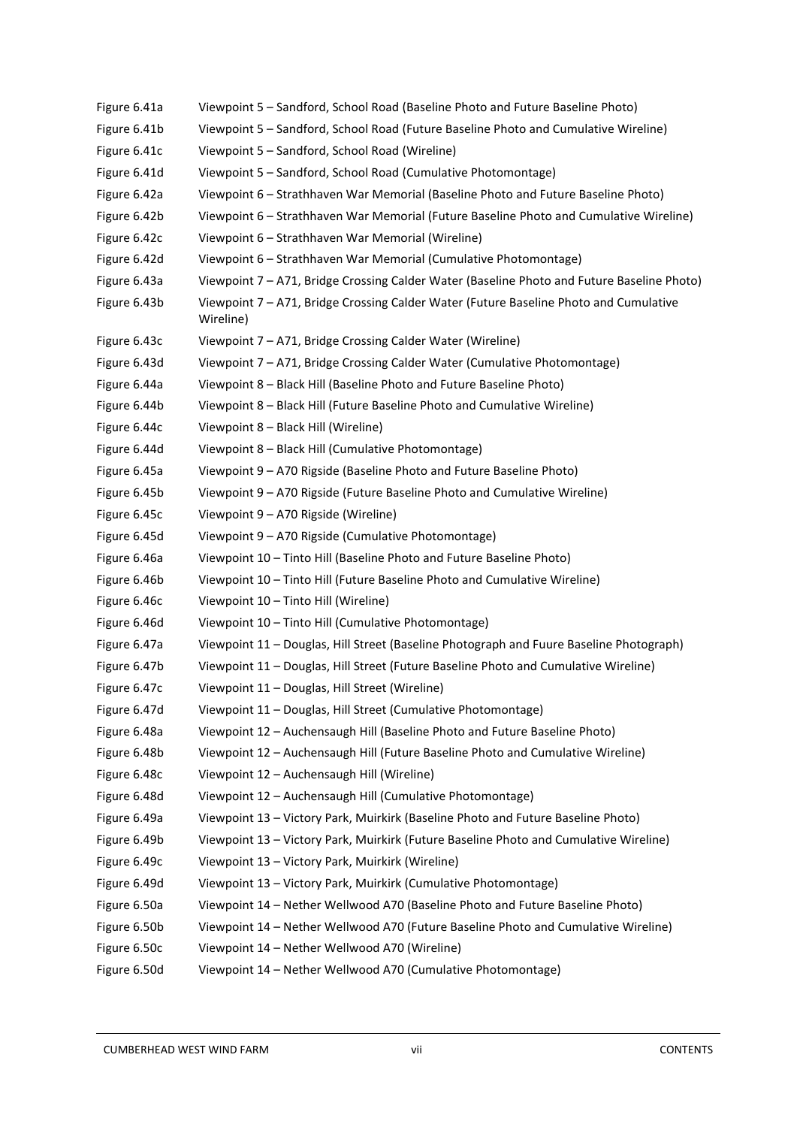| Figure 6.41a | Viewpoint 5 - Sandford, School Road (Baseline Photo and Future Baseline Photo)                     |
|--------------|----------------------------------------------------------------------------------------------------|
| Figure 6.41b | Viewpoint 5 - Sandford, School Road (Future Baseline Photo and Cumulative Wireline)                |
| Figure 6.41c | Viewpoint 5 - Sandford, School Road (Wireline)                                                     |
| Figure 6.41d | Viewpoint 5 - Sandford, School Road (Cumulative Photomontage)                                      |
| Figure 6.42a | Viewpoint 6 - Strathhaven War Memorial (Baseline Photo and Future Baseline Photo)                  |
| Figure 6.42b | Viewpoint 6 - Strathhaven War Memorial (Future Baseline Photo and Cumulative Wireline)             |
| Figure 6.42c | Viewpoint 6 - Strathhaven War Memorial (Wireline)                                                  |
| Figure 6.42d | Viewpoint 6 - Strathhaven War Memorial (Cumulative Photomontage)                                   |
| Figure 6.43a | Viewpoint 7 - A71, Bridge Crossing Calder Water (Baseline Photo and Future Baseline Photo)         |
| Figure 6.43b | Viewpoint 7 - A71, Bridge Crossing Calder Water (Future Baseline Photo and Cumulative<br>Wireline) |
| Figure 6.43c | Viewpoint 7 - A71, Bridge Crossing Calder Water (Wireline)                                         |
| Figure 6.43d | Viewpoint 7 - A71, Bridge Crossing Calder Water (Cumulative Photomontage)                          |
| Figure 6.44a | Viewpoint 8 - Black Hill (Baseline Photo and Future Baseline Photo)                                |
| Figure 6.44b | Viewpoint 8 - Black Hill (Future Baseline Photo and Cumulative Wireline)                           |
| Figure 6.44c | Viewpoint 8 - Black Hill (Wireline)                                                                |
| Figure 6.44d | Viewpoint 8 - Black Hill (Cumulative Photomontage)                                                 |
| Figure 6.45a | Viewpoint 9 - A70 Rigside (Baseline Photo and Future Baseline Photo)                               |
| Figure 6.45b | Viewpoint 9 - A70 Rigside (Future Baseline Photo and Cumulative Wireline)                          |
| Figure 6.45c | Viewpoint 9 - A70 Rigside (Wireline)                                                               |
| Figure 6.45d | Viewpoint 9 - A70 Rigside (Cumulative Photomontage)                                                |
| Figure 6.46a | Viewpoint 10 - Tinto Hill (Baseline Photo and Future Baseline Photo)                               |
| Figure 6.46b | Viewpoint 10 - Tinto Hill (Future Baseline Photo and Cumulative Wireline)                          |
| Figure 6.46c | Viewpoint 10 - Tinto Hill (Wireline)                                                               |
| Figure 6.46d | Viewpoint 10 - Tinto Hill (Cumulative Photomontage)                                                |
| Figure 6.47a | Viewpoint 11 - Douglas, Hill Street (Baseline Photograph and Fuure Baseline Photograph)            |
| Figure 6.47b | Viewpoint 11 - Douglas, Hill Street (Future Baseline Photo and Cumulative Wireline)                |
| Figure 6.47c | Viewpoint 11 - Douglas, Hill Street (Wireline)                                                     |
| Figure 6.47d | Viewpoint 11 - Douglas, Hill Street (Cumulative Photomontage)                                      |
| Figure 6.48a | Viewpoint 12 - Auchensaugh Hill (Baseline Photo and Future Baseline Photo)                         |
| Figure 6.48b | Viewpoint 12 - Auchensaugh Hill (Future Baseline Photo and Cumulative Wireline)                    |
| Figure 6.48c | Viewpoint 12 - Auchensaugh Hill (Wireline)                                                         |
| Figure 6.48d | Viewpoint 12 - Auchensaugh Hill (Cumulative Photomontage)                                          |
| Figure 6.49a | Viewpoint 13 - Victory Park, Muirkirk (Baseline Photo and Future Baseline Photo)                   |
| Figure 6.49b | Viewpoint 13 - Victory Park, Muirkirk (Future Baseline Photo and Cumulative Wireline)              |
| Figure 6.49c | Viewpoint 13 - Victory Park, Muirkirk (Wireline)                                                   |
| Figure 6.49d | Viewpoint 13 - Victory Park, Muirkirk (Cumulative Photomontage)                                    |
| Figure 6.50a | Viewpoint 14 - Nether Wellwood A70 (Baseline Photo and Future Baseline Photo)                      |
| Figure 6.50b | Viewpoint 14 - Nether Wellwood A70 (Future Baseline Photo and Cumulative Wireline)                 |
| Figure 6.50c | Viewpoint 14 - Nether Wellwood A70 (Wireline)                                                      |
| Figure 6.50d | Viewpoint 14 - Nether Wellwood A70 (Cumulative Photomontage)                                       |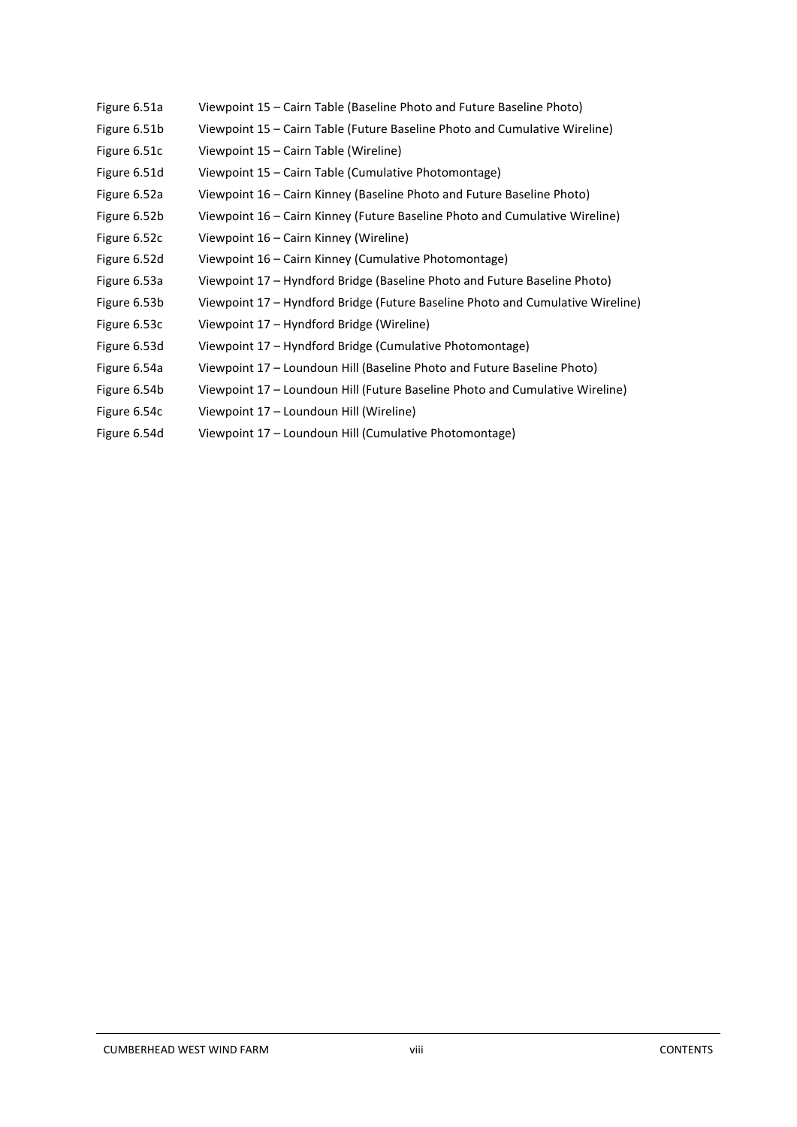| Figure 6.51a | Viewpoint 15 – Cairn Table (Baseline Photo and Future Baseline Photo)          |
|--------------|--------------------------------------------------------------------------------|
| Figure 6.51b | Viewpoint 15 - Cairn Table (Future Baseline Photo and Cumulative Wireline)     |
| Figure 6.51c | Viewpoint 15 – Cairn Table (Wireline)                                          |
| Figure 6.51d | Viewpoint 15 - Cairn Table (Cumulative Photomontage)                           |
| Figure 6.52a | Viewpoint 16 - Cairn Kinney (Baseline Photo and Future Baseline Photo)         |
| Figure 6.52b | Viewpoint 16 - Cairn Kinney (Future Baseline Photo and Cumulative Wireline)    |
| Figure 6.52c | Viewpoint 16 – Cairn Kinney (Wireline)                                         |
| Figure 6.52d | Viewpoint 16 – Cairn Kinney (Cumulative Photomontage)                          |
| Figure 6.53a | Viewpoint 17 – Hyndford Bridge (Baseline Photo and Future Baseline Photo)      |
| Figure 6.53b | Viewpoint 17 – Hyndford Bridge (Future Baseline Photo and Cumulative Wireline) |
| Figure 6.53c | Viewpoint 17 – Hyndford Bridge (Wireline)                                      |
| Figure 6.53d | Viewpoint 17 – Hyndford Bridge (Cumulative Photomontage)                       |
| Figure 6.54a | Viewpoint 17 - Loundoun Hill (Baseline Photo and Future Baseline Photo)        |
| Figure 6.54b | Viewpoint 17 - Loundoun Hill (Future Baseline Photo and Cumulative Wireline)   |
| Figure 6.54c | Viewpoint 17 - Loundoun Hill (Wireline)                                        |
| Figure 6.54d | Viewpoint 17 - Loundoun Hill (Cumulative Photomontage)                         |